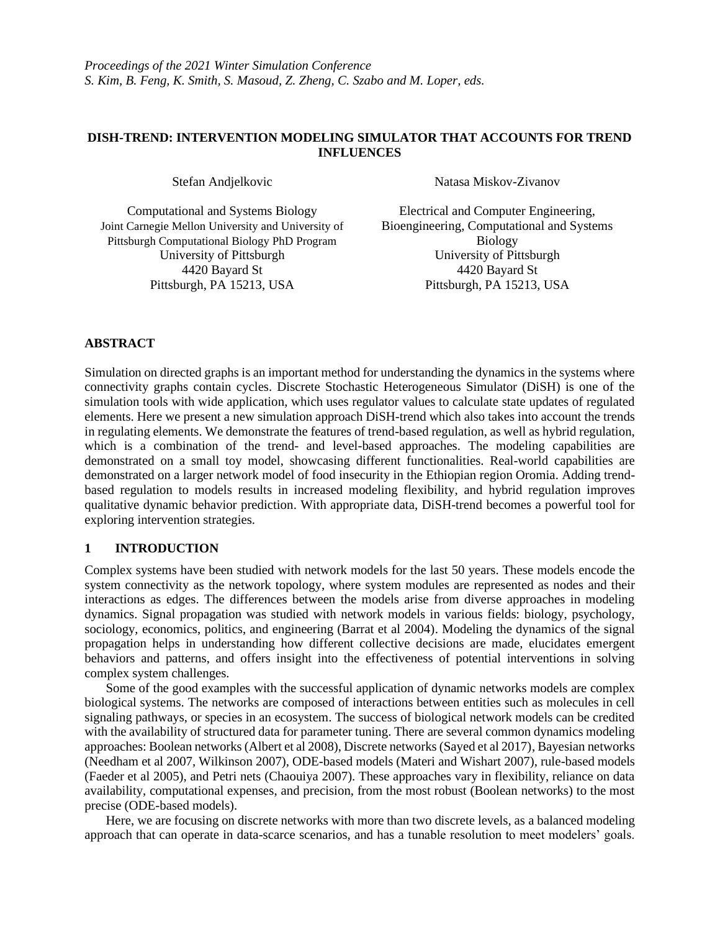## **DISH-TREND: INTERVENTION MODELING SIMULATOR THAT ACCOUNTS FOR TREND INFLUENCES**

Computational and Systems Biology Joint Carnegie Mellon University and University of Pittsburgh Computational Biology PhD Program University of Pittsburgh University of Pittsburgh 4420 Bayard St 4420 Bayard St Pittsburgh, PA 15213, USA Pittsburgh, PA 15213, USA

Stefan Andjelkovic Natasa Miskov-Zivanov

Electrical and Computer Engineering, Bioengineering, Computational and Systems Biology

# **ABSTRACT**

Simulation on directed graphs is an important method for understanding the dynamics in the systems where connectivity graphs contain cycles. Discrete Stochastic Heterogeneous Simulator (DiSH) is one of the simulation tools with wide application, which uses regulator values to calculate state updates of regulated elements. Here we present a new simulation approach DiSH-trend which also takes into account the trends in regulating elements. We demonstrate the features of trend-based regulation, as well as hybrid regulation, which is a combination of the trend- and level-based approaches. The modeling capabilities are demonstrated on a small toy model, showcasing different functionalities. Real-world capabilities are demonstrated on a larger network model of food insecurity in the Ethiopian region Oromia. Adding trendbased regulation to models results in increased modeling flexibility, and hybrid regulation improves qualitative dynamic behavior prediction. With appropriate data, DiSH-trend becomes a powerful tool for exploring intervention strategies.

# **1 INTRODUCTION**

Complex systems have been studied with network models for the last 50 years. These models encode the system connectivity as the network topology, where system modules are represented as nodes and their interactions as edges. The differences between the models arise from diverse approaches in modeling dynamics. Signal propagation was studied with network models in various fields: biology, psychology, sociology, economics, politics, and engineering (Barrat et al 2004). Modeling the dynamics of the signal propagation helps in understanding how different collective decisions are made, elucidates emergent behaviors and patterns, and offers insight into the effectiveness of potential interventions in solving complex system challenges.

Some of the good examples with the successful application of dynamic networks models are complex biological systems. The networks are composed of interactions between entities such as molecules in cell signaling pathways, or species in an ecosystem. The success of biological network models can be credited with the availability of structured data for parameter tuning. There are several common dynamics modeling approaches: Boolean networks (Albert et al 2008), Discrete networks (Sayed et al 2017), Bayesian networks (Needham et al 2007, Wilkinson 2007), ODE-based models (Materi and Wishart 2007), rule-based models (Faeder et al 2005), and Petri nets (Chaouiya 2007). These approaches vary in flexibility, reliance on data availability, computational expenses, and precision, from the most robust (Boolean networks) to the most precise (ODE-based models).

Here, we are focusing on discrete networks with more than two discrete levels, as a balanced modeling approach that can operate in data-scarce scenarios, and has a tunable resolution to meet modelers' goals.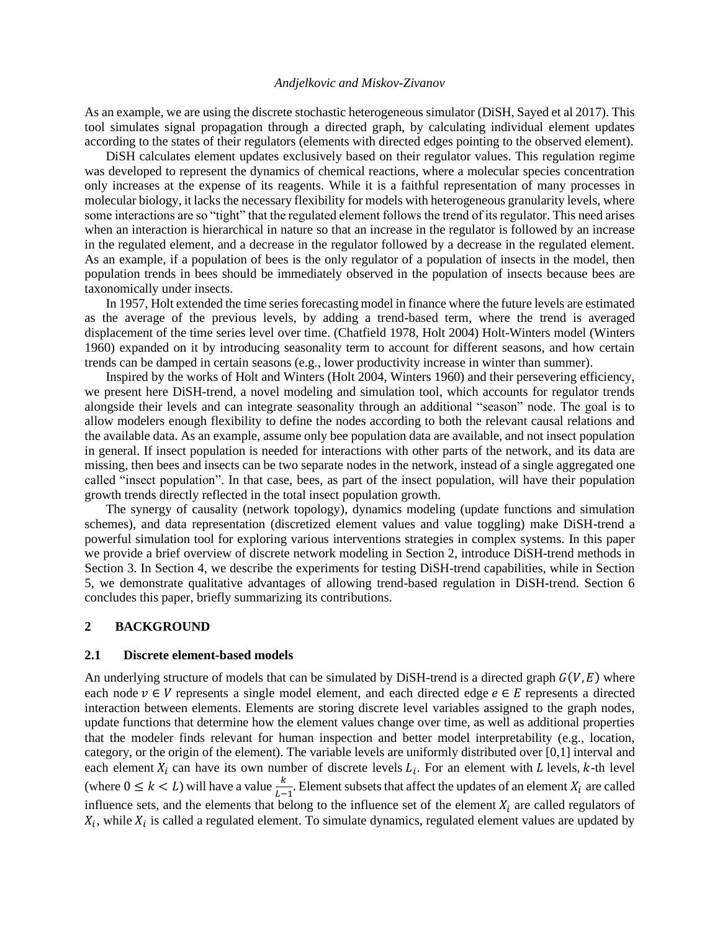As an example, we are using the discrete stochastic heterogeneous simulator (DiSH, Sayed et al 2017). This tool simulates signal propagation through a directed graph, by calculating individual element updates according to the states of their regulators (elements with directed edges pointing to the observed element).

DiSH calculates element updates exclusively based on their regulator values. This regulation regime was developed to represent the dynamics of chemical reactions, where a molecular species concentration only increases at the expense of its reagents. While it is a faithful representation of many processes in molecular biology, it lacks the necessary flexibility for models with heterogeneous granularity levels, where some interactions are so "tight" that the regulated element follows the trend of its regulator. This need arises when an interaction is hierarchical in nature so that an increase in the regulator is followed by an increase in the regulated element, and a decrease in the regulator followed by a decrease in the regulated element. As an example, if a population of bees is the only regulator of a population of insects in the model, then population trends in bees should be immediately observed in the population of insects because bees are taxonomically under insects.

In 1957, Holt extended the time series forecasting model in finance where the future levels are estimated as the average of the previous levels, by adding a trend-based term, where the trend is averaged displacement of the time series level over time. (Chatfield 1978, Holt 2004) Holt-Winters model (Winters 1960) expanded on it by introducing seasonality term to account for different seasons, and how certain trends can be damped in certain seasons (e.g., lower productivity increase in winter than summer).

Inspired by the works of Holt and Winters (Holt 2004, Winters 1960) and their persevering efficiency, we present here DiSH-trend, a novel modeling and simulation tool, which accounts for regulator trends alongside their levels and can integrate seasonality through an additional "season" node. The goal is to allow modelers enough flexibility to define the nodes according to both the relevant causal relations and the available data. As an example, assume only bee population data are available, and not insect population in general. If insect population is needed for interactions with other parts of the network, and its data are missing, then bees and insects can be two separate nodes in the network, instead of a single aggregated one called "insect population". In that case, bees, as part of the insect population, will have their population growth trends directly reflected in the total insect population growth.

The synergy of causality (network topology), dynamics modeling (update functions and simulation schemes), and data representation (discretized element values and value toggling) make DiSH-trend a powerful simulation tool for exploring various interventions strategies in complex systems. In this paper we provide a brief overview of discrete network modeling in Section 2, introduce DiSH-trend methods in Section 3. In Section 4, we describe the experiments for testing DiSH-trend capabilities, while in Section 5, we demonstrate qualitative advantages of allowing trend-based regulation in DiSH-trend. Section 6 concludes this paper, briefly summarizing its contributions.

#### **2 BACKGROUND**

#### **2.1 Discrete element-based models**

An underlying structure of models that can be simulated by DiSH-trend is a directed graph  $G(V, E)$  where each node  $v \in V$  represents a single model element, and each directed edge  $e \in E$  represents a directed interaction between elements. Elements are storing discrete level variables assigned to the graph nodes, update functions that determine how the element values change over time, as well as additional properties that the modeler finds relevant for human inspection and better model interpretability (e.g., location, category, or the origin of the element). The variable levels are uniformly distributed over [0,1] interval and each element  $X_i$  can have its own number of discrete levels  $L_i$ . For an element with L levels, k-th level (where  $0 \le k < L$ ) will have a value  $\frac{k}{L-1}$ . Element subsets that affect the updates of an element  $X_i$  are called influence sets, and the elements that belong to the influence set of the element  $X_i$  are called regulators of  $X_i$ , while  $X_i$  is called a regulated element. To simulate dynamics, regulated element values are updated by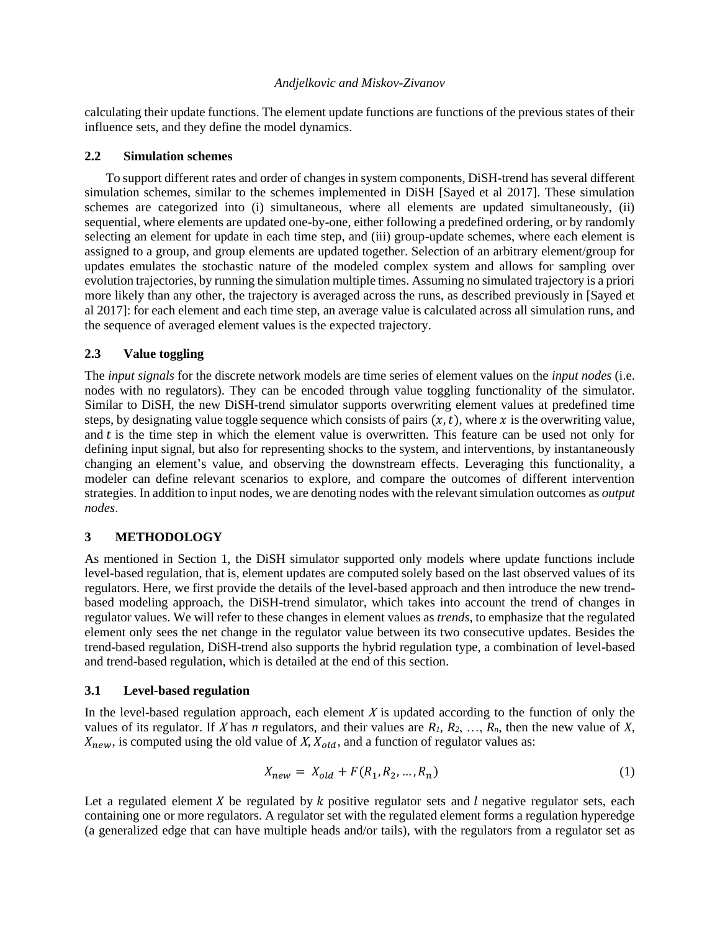calculating their update functions. The element update functions are functions of the previous states of their influence sets, and they define the model dynamics.

## **2.2 Simulation schemes**

To support different rates and order of changes in system components, DiSH-trend has several different simulation schemes, similar to the schemes implemented in DiSH [Sayed et al 2017]. These simulation schemes are categorized into (i) simultaneous, where all elements are updated simultaneously, (ii) sequential, where elements are updated one-by-one, either following a predefined ordering, or by randomly selecting an element for update in each time step, and (iii) group-update schemes, where each element is assigned to a group, and group elements are updated together. Selection of an arbitrary element/group for updates emulates the stochastic nature of the modeled complex system and allows for sampling over evolution trajectories, by running the simulation multiple times. Assuming no simulated trajectory is a priori more likely than any other, the trajectory is averaged across the runs, as described previously in [Sayed et al 2017]: for each element and each time step, an average value is calculated across all simulation runs, and the sequence of averaged element values is the expected trajectory.

# **2.3 Value toggling**

The *input signals* for the discrete network models are time series of element values on the *input nodes* (i.e. nodes with no regulators). They can be encoded through value toggling functionality of the simulator. Similar to DiSH, the new DiSH-trend simulator supports overwriting element values at predefined time steps, by designating value toggle sequence which consists of pairs  $(x, t)$ , where x is the overwriting value, and  $t$  is the time step in which the element value is overwritten. This feature can be used not only for defining input signal, but also for representing shocks to the system, and interventions, by instantaneously changing an element's value, and observing the downstream effects. Leveraging this functionality, a modeler can define relevant scenarios to explore, and compare the outcomes of different intervention strategies. In addition to input nodes, we are denoting nodes with the relevant simulation outcomes as *output nodes*.

# **3 METHODOLOGY**

As mentioned in Section 1, the DiSH simulator supported only models where update functions include level-based regulation, that is, element updates are computed solely based on the last observed values of its regulators. Here, we first provide the details of the level-based approach and then introduce the new trendbased modeling approach, the DiSH-trend simulator, which takes into account the trend of changes in regulator values. We will refer to these changes in element values as *trends*, to emphasize that the regulated element only sees the net change in the regulator value between its two consecutive updates. Besides the trend-based regulation, DiSH-trend also supports the hybrid regulation type, a combination of level-based and trend-based regulation, which is detailed at the end of this section.

# **3.1 Level-based regulation**

In the level-based regulation approach, each element  $X$  is updated according to the function of only the values of its regulator. If X has *n* regulators, and their values are  $R_1, R_2, \ldots, R_n$ , then the new value of X,  $X_{new}$ , is computed using the old value of X,  $X_{old}$ , and a function of regulator values as:

$$
X_{new} = X_{old} + F(R_1, R_2, ..., R_n)
$$
 (1)

Let a regulated element  $X$  be regulated by  $k$  positive regulator sets and  $l$  negative regulator sets, each containing one or more regulators. A regulator set with the regulated element forms a regulation hyperedge (a generalized edge that can have multiple heads and/or tails), with the regulators from a regulator set as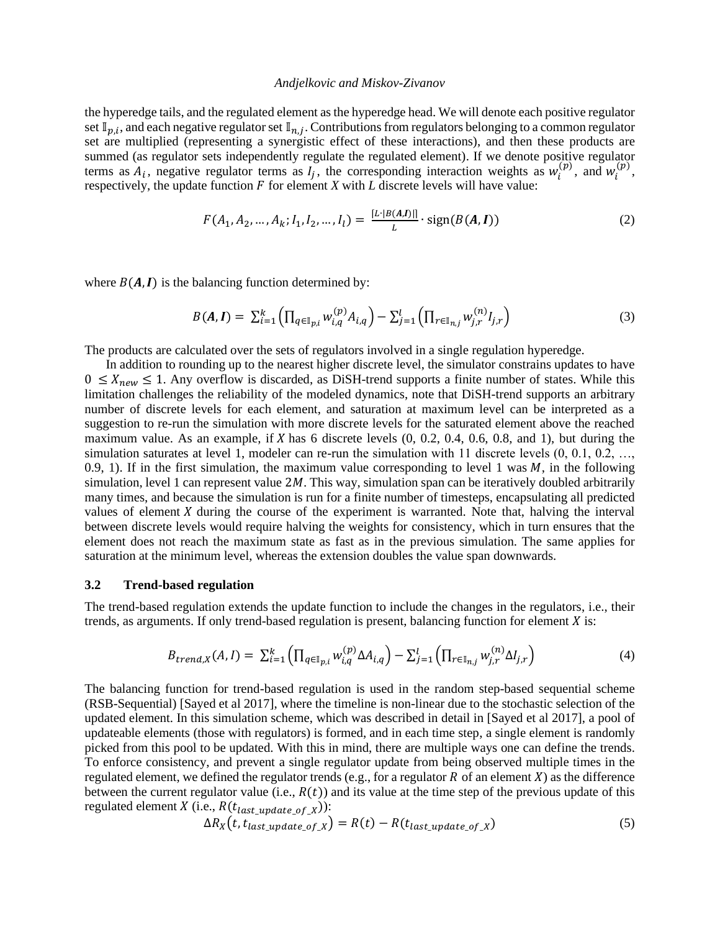the hyperedge tails, and the regulated element as the hyperedge head. We will denote each positive regulator set  $\mathbb{I}_{p,i}$ , and each negative regulator set  $\mathbb{I}_{n,j}$ . Contributions from regulators belonging to a common regulator set are multiplied (representing a synergistic effect of these interactions), and then these products are summed (as regulator sets independently regulate the regulated element). If we denote positive regulator terms as  $A_i$ , negative regulator terms as  $I_j$ , the corresponding interaction weights as  $w_i^{(p)}$ , and  $w_i^{(p)}$ , respectively, the update function  $F$  for element  $X$  with  $L$  discrete levels will have value:

$$
F(A_1, A_2, ..., A_k; I_1, I_2, ..., I_l) = \frac{[L \cdot |B(A, I)]|}{L} \cdot \text{sign}(B(A, I))
$$
 (2)

where  $B(A, I)$  is the balancing function determined by:

$$
B(A,I) = \sum_{i=1}^{k} \left( \prod_{q \in \mathbb{I}_{p,i}} w_{i,q}^{(p)} A_{i,q} \right) - \sum_{j=1}^{l} \left( \prod_{r \in \mathbb{I}_{n,j}} w_{j,r}^{(n)} I_{j,r} \right)
$$
(3)

The products are calculated over the sets of regulators involved in a single regulation hyperedge.

In addition to rounding up to the nearest higher discrete level, the simulator constrains updates to have  $0 \leq X_{new} \leq 1$ . Any overflow is discarded, as DiSH-trend supports a finite number of states. While this limitation challenges the reliability of the modeled dynamics, note that DiSH-trend supports an arbitrary number of discrete levels for each element, and saturation at maximum level can be interpreted as a suggestion to re-run the simulation with more discrete levels for the saturated element above the reached maximum value. As an example, if  $X$  has 6 discrete levels  $(0, 0.2, 0.4, 0.6, 0.8,$  and 1), but during the simulation saturates at level 1, modeler can re-run the simulation with 11 discrete levels  $(0, 0.1, 0.2, ...,$ 0.9, 1). If in the first simulation, the maximum value corresponding to level 1 was  $M$ , in the following simulation, level 1 can represent value  $2M$ . This way, simulation span can be iteratively doubled arbitrarily many times, and because the simulation is run for a finite number of timesteps, encapsulating all predicted values of element  $X$  during the course of the experiment is warranted. Note that, halving the interval between discrete levels would require halving the weights for consistency, which in turn ensures that the element does not reach the maximum state as fast as in the previous simulation. The same applies for saturation at the minimum level, whereas the extension doubles the value span downwards.

#### **3.2 Trend-based regulation**

The trend-based regulation extends the update function to include the changes in the regulators, i.e., their trends, as arguments. If only trend-based regulation is present, balancing function for element  $X$  is:

$$
B_{trend,X}(A,I) = \sum_{i=1}^{k} \left( \prod_{q \in \mathbb{I}_{p,i}} w_{i,q}^{(p)} \Delta A_{i,q} \right) - \sum_{j=1}^{l} \left( \prod_{r \in \mathbb{I}_{n,j}} w_{j,r}^{(n)} \Delta I_{j,r} \right)
$$
(4)

The balancing function for trend-based regulation is used in the random step-based sequential scheme (RSB-Sequential) [Sayed et al 2017], where the timeline is non-linear due to the stochastic selection of the updated element. In this simulation scheme, which was described in detail in [Sayed et al 2017], a pool of updateable elements (those with regulators) is formed, and in each time step, a single element is randomly picked from this pool to be updated. With this in mind, there are multiple ways one can define the trends. To enforce consistency, and prevent a single regulator update from being observed multiple times in the regulated element, we defined the regulator trends (e.g., for a regulator  $R$  of an element  $X$ ) as the difference between the current regulator value (i.e.,  $R(t)$ ) and its value at the time step of the previous update of this regulated element *X* (i.e.,  $R(t_{last\_update_of_X})$ ):

$$
\Delta R_X(t, t_{last\_update\_of\_X}) = R(t) - R(t_{last\_update\_of\_X})
$$
\n
$$
(5)
$$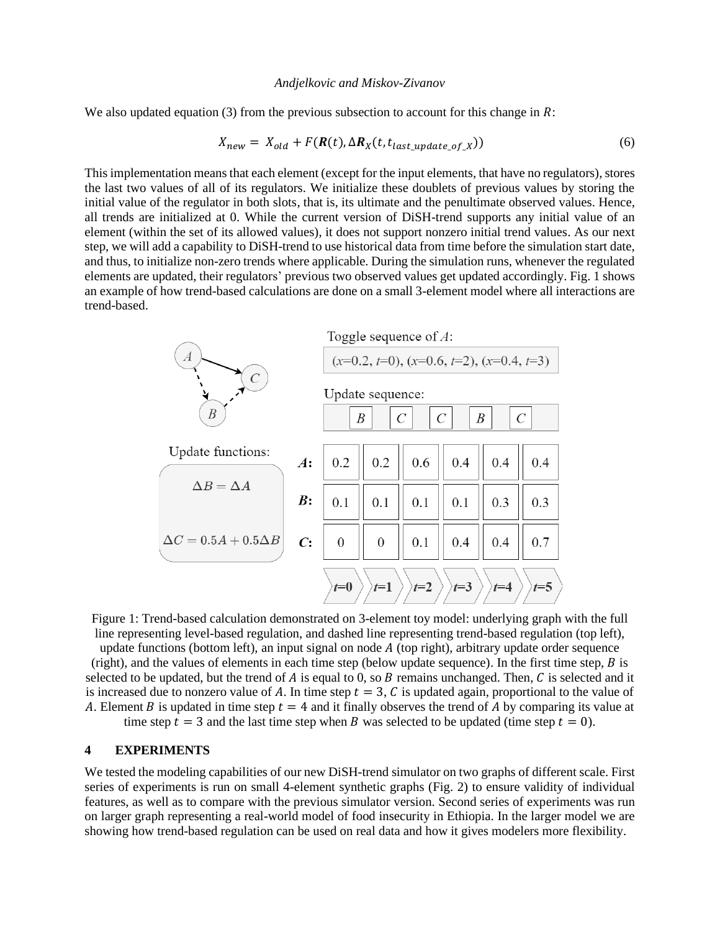We also updated equation (3) from the previous subsection to account for this change in  $\mathbb{R}$ :

$$
X_{new} = X_{old} + F(\mathbf{R}(t), \Delta \mathbf{R}_X(t, t_{last\_update\_of\_X}))
$$
\n(6)

This implementation means that each element (except for the input elements, that have no regulators), stores the last two values of all of its regulators. We initialize these doublets of previous values by storing the initial value of the regulator in both slots, that is, its ultimate and the penultimate observed values. Hence, all trends are initialized at 0. While the current version of DiSH-trend supports any initial value of an element (within the set of its allowed values), it does not support nonzero initial trend values. As our next step, we will add a capability to DiSH-trend to use historical data from time before the simulation start date, and thus, to initialize non-zero trends where applicable. During the simulation runs, whenever the regulated elements are updated, their regulators' previous two observed values get updated accordingly. Fig. 1 shows an example of how trend-based calculations are done on a small 3-element model where all interactions are trend-based.



Figure 1: Trend-based calculation demonstrated on 3-element toy model: underlying graph with the full line representing level-based regulation, and dashed line representing trend-based regulation (top left),

update functions (bottom left), an input signal on node  $\vec{A}$  (top right), arbitrary update order sequence (right), and the values of elements in each time step (below update sequence). In the first time step,  $\hat{B}$  is selected to be updated, but the trend of  $A$  is equal to 0, so  $B$  remains unchanged. Then,  $C$  is selected and it is increased due to nonzero value of A. In time step  $t = 3$ , C is updated again, proportional to the value of A. Element B is updated in time step  $t = 4$  and it finally observes the trend of A by comparing its value at time step  $t = 3$  and the last time step when B was selected to be updated (time step  $t = 0$ ).

### **4 EXPERIMENTS**

We tested the modeling capabilities of our new DiSH-trend simulator on two graphs of different scale. First series of experiments is run on small 4-element synthetic graphs (Fig. 2) to ensure validity of individual features, as well as to compare with the previous simulator version. Second series of experiments was run on larger graph representing a real-world model of food insecurity in Ethiopia. In the larger model we are showing how trend-based regulation can be used on real data and how it gives modelers more flexibility.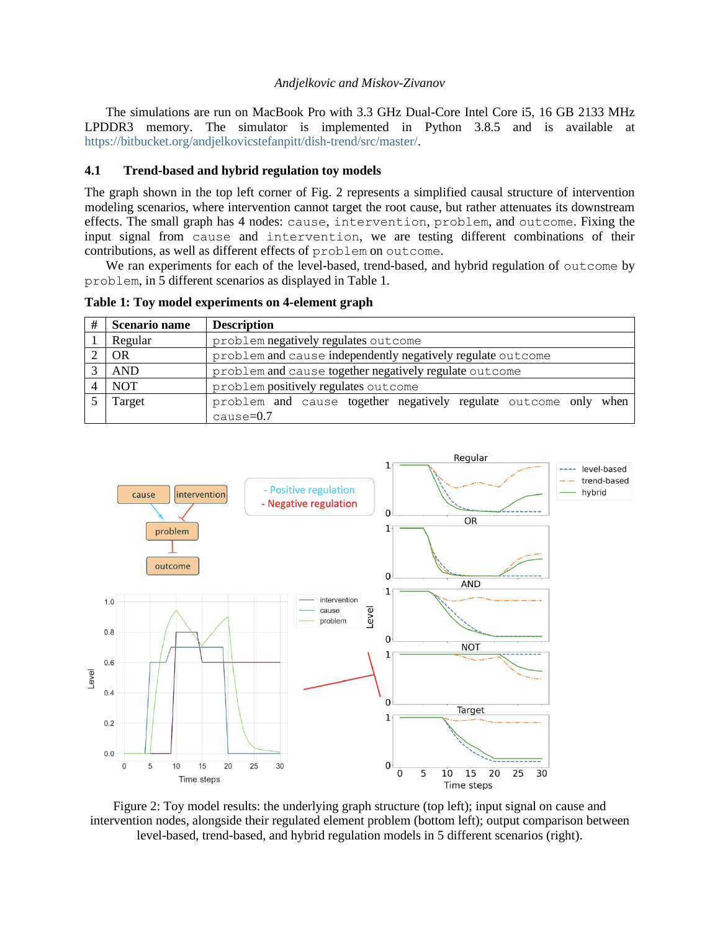The simulations are run on MacBook Pro with 3.3 GHz Dual-Core Intel Core i5, 16 GB 2133 MHz LPDDR3 memory. The simulator is implemented in Python 3.8.5 and is available at [https://bitbucket.org/andjelkovicstefanpitt/dish-trend/src/master/.](https://bitbucket.org/andjelkovicstefanpitt/dish-trend/src/master/)

## **4.1 Trend-based and hybrid regulation toy models**

The graph shown in the top left corner of Fig. 2 represents a simplified causal structure of intervention modeling scenarios, where intervention cannot target the root cause, but rather attenuates its downstream effects. The small graph has 4 nodes: cause, intervention, problem, and outcome. Fixing the input signal from cause and intervention, we are testing different combinations of their contributions, as well as different effects of problem on outcome.

We ran experiments for each of the level-based, trend-based, and hybrid regulation of outcome by problem, in 5 different scenarios as displayed in Table 1.

**Table 1: Toy model experiments on 4-element graph**

| # | <b>Scenario name</b> | <b>Description</b>                                               |  |  |  |
|---|----------------------|------------------------------------------------------------------|--|--|--|
|   | Regular              | problem negatively regulates outcome                             |  |  |  |
|   | OR                   | problem and cause independently negatively regulate outcome      |  |  |  |
|   | <b>AND</b>           | problem and cause together negatively regulate outcome           |  |  |  |
|   | <b>NOT</b>           | problem positively regulates outcome                             |  |  |  |
|   | Target               | problem and cause together negatively regulate outcome only when |  |  |  |
|   |                      | $cause=0.7$                                                      |  |  |  |



Figure 2: Toy model results: the underlying graph structure (top left); input signal on cause and intervention nodes, alongside their regulated element problem (bottom left); output comparison between level-based, trend-based, and hybrid regulation models in 5 different scenarios (right).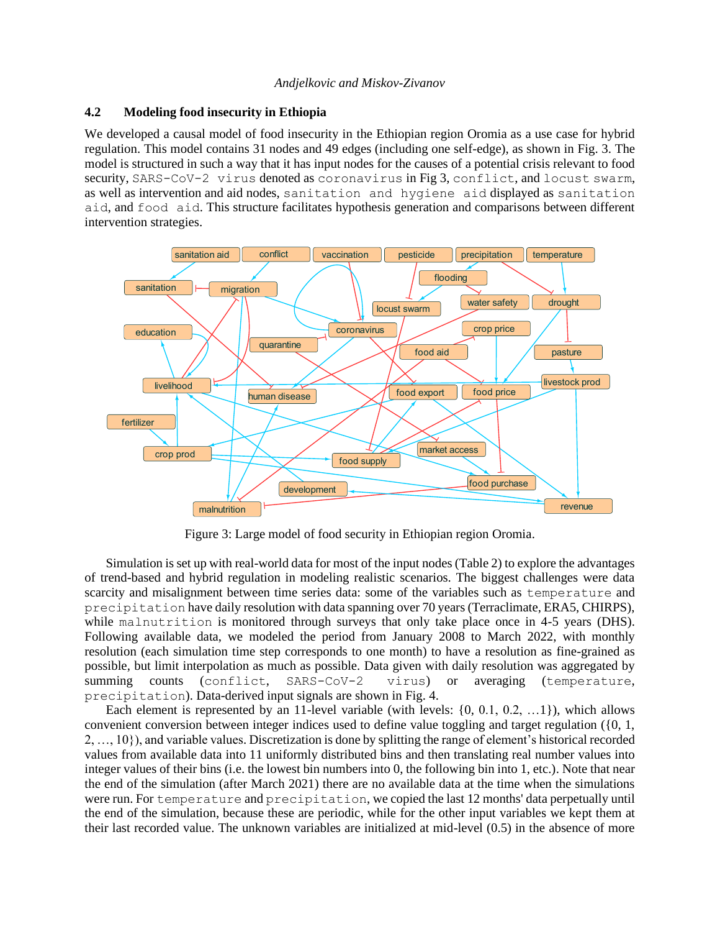## **4.2 Modeling food insecurity in Ethiopia**

We developed a causal model of food insecurity in the Ethiopian region Oromia as a use case for hybrid regulation. This model contains 31 nodes and 49 edges (including one self-edge), as shown in Fig. 3. The model is structured in such a way that it has input nodes for the causes of a potential crisis relevant to food security, SARS-CoV-2 virus denoted as coronavirus in Fig 3, conflict, and locust swarm, as well as intervention and aid nodes, sanitation and hygiene aid displayed as sanitation aid, and food aid. This structure facilitates hypothesis generation and comparisons between different intervention strategies.



Figure 3: Large model of food security in Ethiopian region Oromia.

Simulation is set up with real-world data for most of the input nodes (Table 2) to explore the advantages of trend-based and hybrid regulation in modeling realistic scenarios. The biggest challenges were data scarcity and misalignment between time series data: some of the variables such as temperature and precipitation have daily resolution with data spanning over 70 years (Terraclimate, ERA5, CHIRPS), while malnutrition is monitored through surveys that only take place once in 4-5 years (DHS). Following available data, we modeled the period from January 2008 to March 2022, with monthly resolution (each simulation time step corresponds to one month) to have a resolution as fine-grained as possible, but limit interpolation as much as possible. Data given with daily resolution was aggregated by summing counts (conflict, SARS-CoV-2 virus) or averaging (temperature, precipitation). Data-derived input signals are shown in Fig. 4.

Each element is represented by an 11-level variable (with levels:  $\{0, 0.1, 0.2, ...1\}$ ), which allows convenient conversion between integer indices used to define value toggling and target regulation ({0, 1, 2, …, 10}), and variable values. Discretization is done by splitting the range of element's historical recorded values from available data into 11 uniformly distributed bins and then translating real number values into integer values of their bins (i.e. the lowest bin numbers into 0, the following bin into 1, etc.). Note that near the end of the simulation (after March 2021) there are no available data at the time when the simulations were run. For temperature and precipitation, we copied the last 12 months' data perpetually until the end of the simulation, because these are periodic, while for the other input variables we kept them at their last recorded value. The unknown variables are initialized at mid-level (0.5) in the absence of more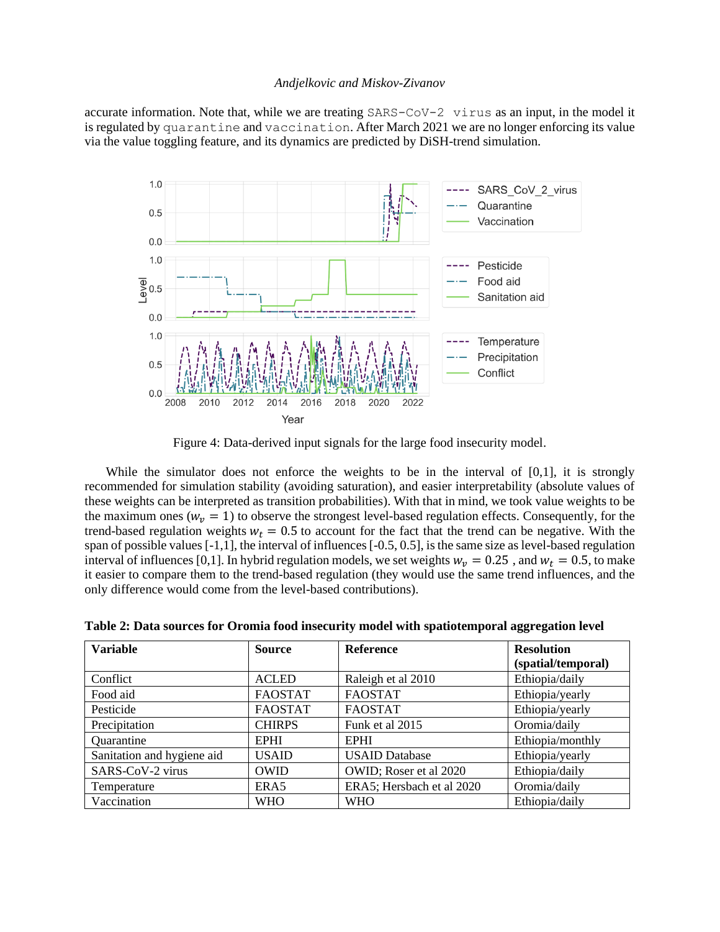accurate information. Note that, while we are treating SARS-CoV-2 virus as an input, in the model it is regulated by quarantine and vaccination. After March 2021 we are no longer enforcing its value via the value toggling feature, and its dynamics are predicted by DiSH-trend simulation.



Figure 4: Data-derived input signals for the large food insecurity model.

While the simulator does not enforce the weights to be in the interval of  $[0,1]$ , it is strongly recommended for simulation stability (avoiding saturation), and easier interpretability (absolute values of these weights can be interpreted as transition probabilities). With that in mind, we took value weights to be the maximum ones ( $w_v = 1$ ) to observe the strongest level-based regulation effects. Consequently, for the trend-based regulation weights  $w_t = 0.5$  to account for the fact that the trend can be negative. With the span of possible values [-1,1], the interval of influences [-0.5, 0.5], is the same size as level-based regulation interval of influences [0,1]. In hybrid regulation models, we set weights  $w_v = 0.25$ , and  $w_t = 0.5$ , to make it easier to compare them to the trend-based regulation (they would use the same trend influences, and the only difference would come from the level-based contributions).

| <b>Variable</b>            | <b>Source</b>  | <b>Reference</b>          | <b>Resolution</b>  |
|----------------------------|----------------|---------------------------|--------------------|
|                            |                |                           | (spatial/temporal) |
| Conflict                   | <b>ACLED</b>   | Raleigh et al 2010        | Ethiopia/daily     |
| Food aid                   | <b>FAOSTAT</b> | <b>FAOSTAT</b>            | Ethiopia/yearly    |
| Pesticide                  | <b>FAOSTAT</b> | <b>FAOSTAT</b>            | Ethiopia/yearly    |
| Precipitation              | <b>CHIRPS</b>  | Funk et al 2015           | Oromia/daily       |
| Quarantine                 | <b>EPHI</b>    | <b>EPHI</b>               | Ethiopia/monthly   |
| Sanitation and hygiene aid | <b>USAID</b>   | <b>USAID Database</b>     | Ethiopia/yearly    |
| SARS-CoV-2 virus           | <b>OWID</b>    | OWID; Roser et al 2020    | Ethiopia/daily     |
| Temperature                | ERA5           | ERA5; Hersbach et al 2020 | Oromia/daily       |
| Vaccination                | <b>WHO</b>     | <b>WHO</b>                | Ethiopia/daily     |

**Table 2: Data sources for Oromia food insecurity model with spatiotemporal aggregation level**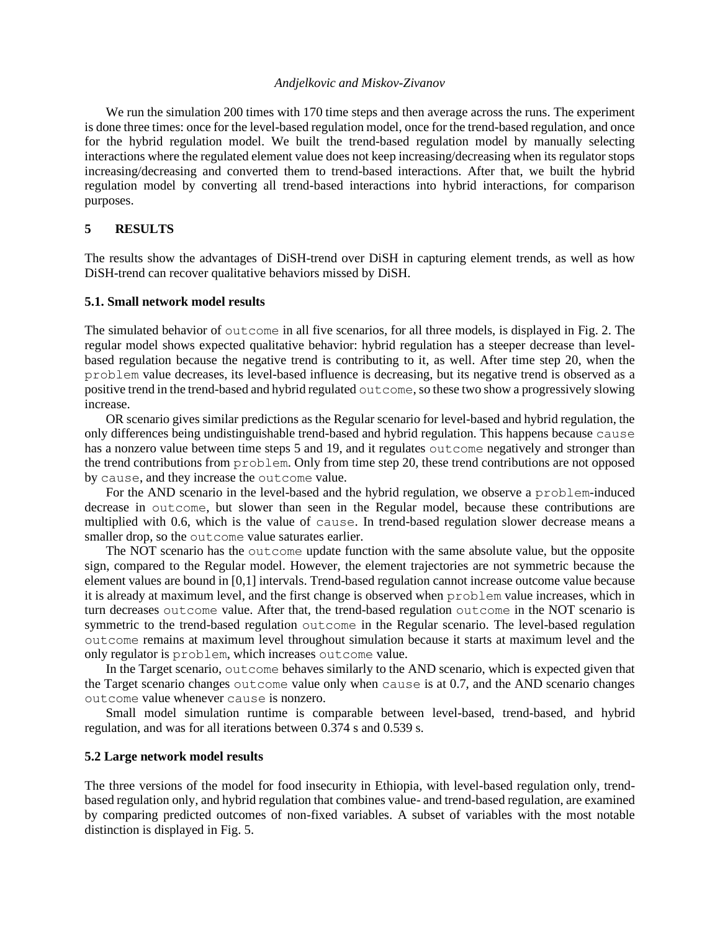We run the simulation 200 times with 170 time steps and then average across the runs. The experiment is done three times: once for the level-based regulation model, once for the trend-based regulation, and once for the hybrid regulation model. We built the trend-based regulation model by manually selecting interactions where the regulated element value does not keep increasing/decreasing when its regulator stops increasing/decreasing and converted them to trend-based interactions. After that, we built the hybrid regulation model by converting all trend-based interactions into hybrid interactions, for comparison purposes.

# **5 RESULTS**

The results show the advantages of DiSH-trend over DiSH in capturing element trends, as well as how DiSH-trend can recover qualitative behaviors missed by DiSH.

#### **5.1. Small network model results**

The simulated behavior of outcome in all five scenarios, for all three models, is displayed in Fig. 2. The regular model shows expected qualitative behavior: hybrid regulation has a steeper decrease than levelbased regulation because the negative trend is contributing to it, as well. After time step 20, when the problem value decreases, its level-based influence is decreasing, but its negative trend is observed as a positive trend in the trend-based and hybrid regulated outcome, so these two show a progressively slowing increase.

OR scenario gives similar predictions as the Regular scenario for level-based and hybrid regulation, the only differences being undistinguishable trend-based and hybrid regulation. This happens because cause has a nonzero value between time steps 5 and 19, and it regulates outcome negatively and stronger than the trend contributions from problem. Only from time step 20, these trend contributions are not opposed by cause, and they increase the outcome value.

For the AND scenario in the level-based and the hybrid regulation, we observe a problem-induced decrease in outcome, but slower than seen in the Regular model, because these contributions are multiplied with 0.6, which is the value of cause. In trend-based regulation slower decrease means a smaller drop, so the outcome value saturates earlier.

The NOT scenario has the outcome update function with the same absolute value, but the opposite sign, compared to the Regular model. However, the element trajectories are not symmetric because the element values are bound in [0,1] intervals. Trend-based regulation cannot increase outcome value because it is already at maximum level, and the first change is observed when problem value increases, which in turn decreases outcome value. After that, the trend-based regulation outcome in the NOT scenario is symmetric to the trend-based regulation outcome in the Regular scenario. The level-based regulation outcome remains at maximum level throughout simulation because it starts at maximum level and the only regulator is problem, which increases outcome value.

In the Target scenario, outcome behaves similarly to the AND scenario, which is expected given that the Target scenario changes outcome value only when cause is at 0.7, and the AND scenario changes outcome value whenever cause is nonzero.

Small model simulation runtime is comparable between level-based, trend-based, and hybrid regulation, and was for all iterations between 0.374 s and 0.539 s.

## **5.2 Large network model results**

The three versions of the model for food insecurity in Ethiopia, with level-based regulation only, trendbased regulation only, and hybrid regulation that combines value- and trend-based regulation, are examined by comparing predicted outcomes of non-fixed variables. A subset of variables with the most notable distinction is displayed in Fig. 5.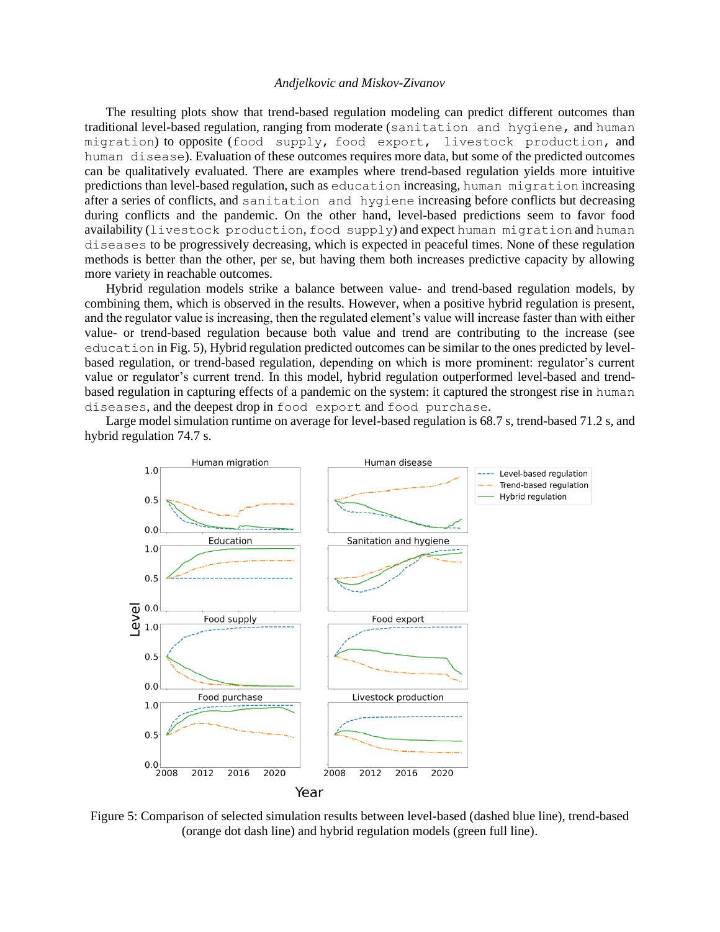The resulting plots show that trend-based regulation modeling can predict different outcomes than traditional level-based regulation, ranging from moderate (sanitation and hygiene, and human migration) to opposite (food supply, food export, livestock production, and human disease). Evaluation of these outcomes requires more data, but some of the predicted outcomes can be qualitatively evaluated. There are examples where trend-based regulation yields more intuitive predictions than level-based regulation, such as education increasing, human migration increasing after a series of conflicts, and sanitation and hygiene increasing before conflicts but decreasing during conflicts and the pandemic. On the other hand, level-based predictions seem to favor food availability (livestock production, food supply) and expect human migration and human diseases to be progressively decreasing, which is expected in peaceful times. None of these regulation methods is better than the other, per se, but having them both increases predictive capacity by allowing more variety in reachable outcomes.

Hybrid regulation models strike a balance between value- and trend-based regulation models, by combining them, which is observed in the results. However, when a positive hybrid regulation is present, and the regulator value is increasing, then the regulated element's value will increase faster than with either value- or trend-based regulation because both value and trend are contributing to the increase (see education in Fig. 5), Hybrid regulation predicted outcomes can be similar to the ones predicted by levelbased regulation, or trend-based regulation, depending on which is more prominent: regulator's current value or regulator's current trend. In this model, hybrid regulation outperformed level-based and trendbased regulation in capturing effects of a pandemic on the system: it captured the strongest rise in human diseases, and the deepest drop in food export and food purchase.

Large model simulation runtime on average for level-based regulation is 68.7 s, trend-based 71.2 s, and hybrid regulation 74.7 s.



Figure 5: Comparison of selected simulation results between level-based (dashed blue line), trend-based (orange dot dash line) and hybrid regulation models (green full line).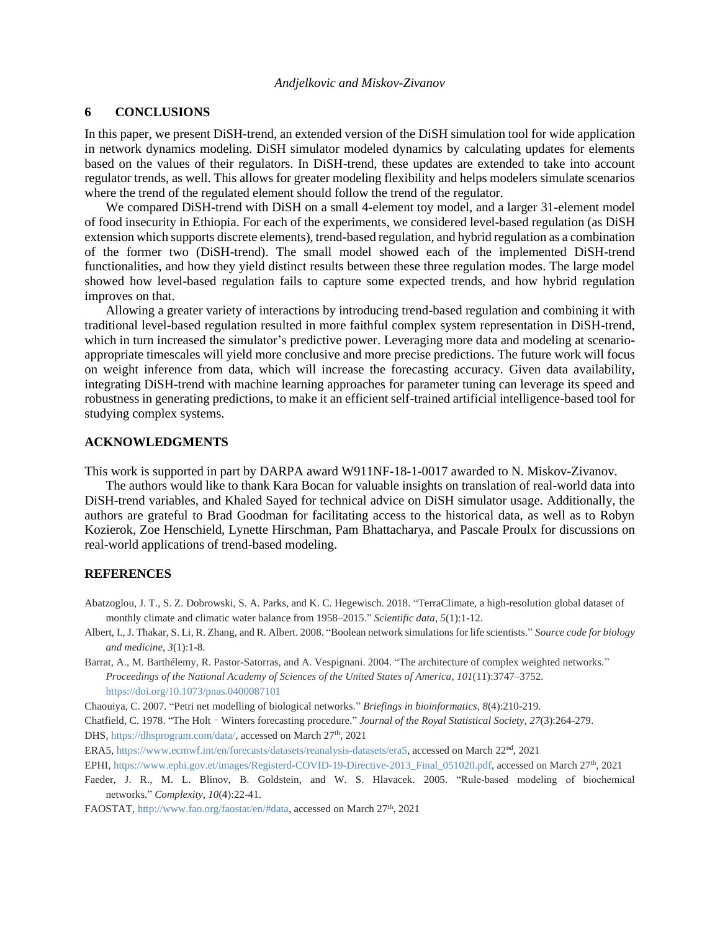## **6 CONCLUSIONS**

In this paper, we present DiSH-trend, an extended version of the DiSH simulation tool for wide application in network dynamics modeling. DiSH simulator modeled dynamics by calculating updates for elements based on the values of their regulators. In DiSH-trend, these updates are extended to take into account regulator trends, as well. This allows for greater modeling flexibility and helps modelers simulate scenarios where the trend of the regulated element should follow the trend of the regulator.

We compared DiSH-trend with DiSH on a small 4-element toy model, and a larger 31-element model of food insecurity in Ethiopia. For each of the experiments, we considered level-based regulation (as DiSH extension which supports discrete elements), trend-based regulation, and hybrid regulation as a combination of the former two (DiSH-trend). The small model showed each of the implemented DiSH-trend functionalities, and how they yield distinct results between these three regulation modes. The large model showed how level-based regulation fails to capture some expected trends, and how hybrid regulation improves on that.

Allowing a greater variety of interactions by introducing trend-based regulation and combining it with traditional level-based regulation resulted in more faithful complex system representation in DiSH-trend, which in turn increased the simulator's predictive power. Leveraging more data and modeling at scenarioappropriate timescales will yield more conclusive and more precise predictions. The future work will focus on weight inference from data, which will increase the forecasting accuracy. Given data availability, integrating DiSH-trend with machine learning approaches for parameter tuning can leverage its speed and robustness in generating predictions, to make it an efficient self-trained artificial intelligence-based tool for studying complex systems.

## **ACKNOWLEDGMENTS**

This work is supported in part by DARPA award W911NF-18-1-0017 awarded to N. Miskov-Zivanov.

The authors would like to thank Kara Bocan for valuable insights on translation of real-world data into DiSH-trend variables, and Khaled Sayed for technical advice on DiSH simulator usage. Additionally, the authors are grateful to Brad Goodman for facilitating access to the historical data, as well as to Robyn Kozierok, Zoe Henschield, Lynette Hirschman, Pam Bhattacharya, and Pascale Proulx for discussions on real-world applications of trend-based modeling.

#### **REFERENCES**

- Abatzoglou, J. T., S. Z. Dobrowski, S. A. Parks, and K. C. Hegewisch. 2018. "TerraClimate, a high-resolution global dataset of monthly climate and climatic water balance from 1958–2015." *Scientific data*, *5*(1):1-12.
- Albert, I., J. Thakar, S. Li, R. Zhang, and R. Albert. 2008. "Boolean network simulations for life scientists." *Source code for biology and medicine*, *3*(1):1-8.
- Barrat, A., M. Barthélemy, R. Pastor-Satorras, and A. Vespignani. 2004. "The architecture of complex weighted networks." *Proceedings of the National Academy of Sciences of the United States of America*, *101*(11):3747–3752. <https://doi.org/10.1073/pnas.0400087101>

Chaouiya, C. 2007. "Petri net modelling of biological networks." *Briefings in bioinformatics*, *8*(4):210-219.

Chatfield, C. 1978. "The Holt‐Winters forecasting procedure." *Journal of the Royal Statistical Society*, *27*(3):264-279.

DHS[, https://dhsprogram.com/data/,](https://dhsprogram.com/data/) accessed on March 27<sup>th</sup>, 2021

ERA5, [https://www.ecmwf.int/en/forecasts/datasets/reanalysis-datasets/era5,](https://www.ecmwf.int/en/forecasts/datasets/reanalysis-datasets/era5) accessed on March 22nd, 2021

EPHI[, https://www.ephi.gov.et/images/Registerd-COVID-19-Directive-2013\\_Final\\_051020.pdf,](https://www.ephi.gov.et/images/Registerd-COVID-19-Directive-2013_Final_051020.pdf) accessed on March 27th, 2021

Faeder, J. R., M. L. Blinov, B. Goldstein, and W. S. Hlavacek. 2005. "Rule-based modeling of biochemical networks." *Complexity*, *10*(4):22-41.

FAOSTAT, [http://www.fao.org/faostat/en/#data,](http://www.fao.org/faostat/en/#data) accessed on March 27<sup>th</sup>, 2021